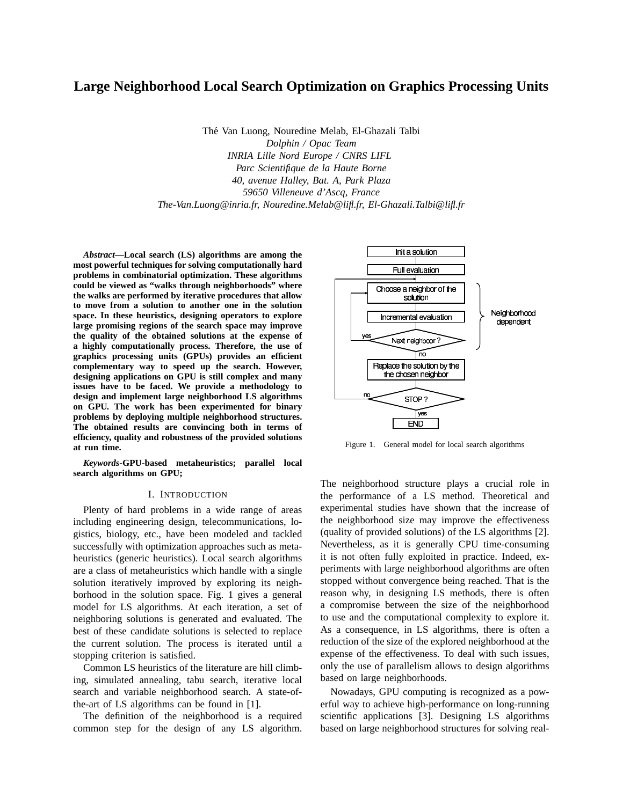# **Large Neighborhood Local Search Optimization on Graphics Processing Units**

The Van Luong, Nouredine Melab, El-Ghazali Talbi ´ *Dolphin / Opac Team INRIA Lille Nord Europe / CNRS LIFL Parc Scientifique de la Haute Borne 40, avenue Halley, Bat. A, Park Plaza 59650 Villeneuve d'Ascq, France The-Van.Luong@inria.fr, Nouredine.Melab@lifl.fr, El-Ghazali.Talbi@lifl.fr*

*Abstract***—Local search (LS) algorithms are among the most powerful techniques for solving computationally hard problems in combinatorial optimization. These algorithms could be viewed as "walks through neighborhoods" where the walks are performed by iterative procedures that allow to move from a solution to another one in the solution space. In these heuristics, designing operators to explore large promising regions of the search space may improve the quality of the obtained solutions at the expense of a highly computationally process. Therefore, the use of graphics processing units (GPUs) provides an efficient complementary way to speed up the search. However, designing applications on GPU is still complex and many issues have to be faced. We provide a methodology to design and implement large neighborhood LS algorithms on GPU. The work has been experimented for binary problems by deploying multiple neighborhood structures. The obtained results are convincing both in terms of efficiency, quality and robustness of the provided solutions at run time.**

*Keywords***-GPU-based metaheuristics; parallel local search algorithms on GPU;**

### I. INTRODUCTION

Plenty of hard problems in a wide range of areas including engineering design, telecommunications, logistics, biology, etc., have been modeled and tackled successfully with optimization approaches such as metaheuristics (generic heuristics). Local search algorithms are a class of metaheuristics which handle with a single solution iteratively improved by exploring its neighborhood in the solution space. Fig. 1 gives a general model for LS algorithms. At each iteration, a set of neighboring solutions is generated and evaluated. The best of these candidate solutions is selected to replace the current solution. The process is iterated until a stopping criterion is satisfied.

Common LS heuristics of the literature are hill climbing, simulated annealing, tabu search, iterative local search and variable neighborhood search. A state-ofthe-art of LS algorithms can be found in [1].

The definition of the neighborhood is a required common step for the design of any LS algorithm.



Figure 1. General model for local search algorithms

The neighborhood structure plays a crucial role in the performance of a LS method. Theoretical and experimental studies have shown that the increase of the neighborhood size may improve the effectiveness (quality of provided solutions) of the LS algorithms [2]. Nevertheless, as it is generally CPU time-consuming it is not often fully exploited in practice. Indeed, experiments with large neighborhood algorithms are often stopped without convergence being reached. That is the reason why, in designing LS methods, there is often a compromise between the size of the neighborhood to use and the computational complexity to explore it. As a consequence, in LS algorithms, there is often a reduction of the size of the explored neighborhood at the expense of the effectiveness. To deal with such issues, only the use of parallelism allows to design algorithms based on large neighborhoods.

Nowadays, GPU computing is recognized as a powerful way to achieve high-performance on long-running scientific applications [3]. Designing LS algorithms based on large neighborhood structures for solving real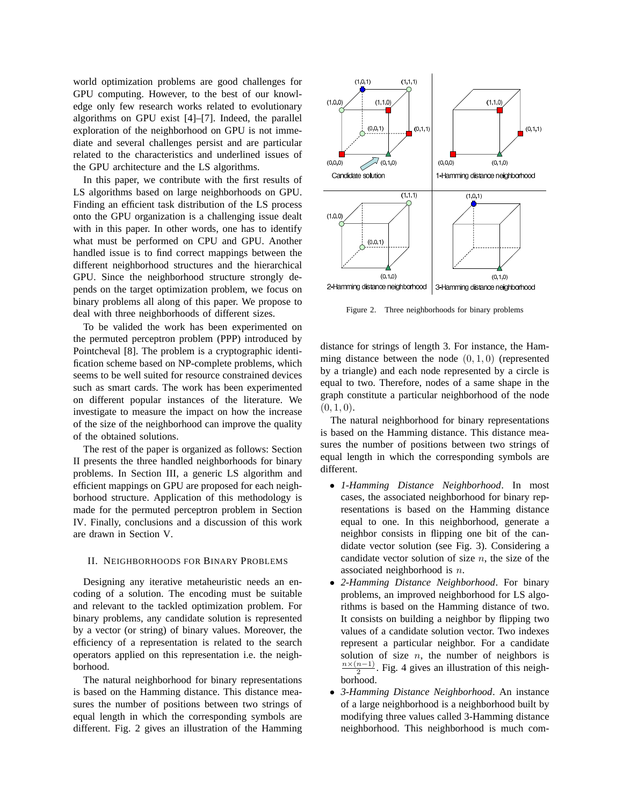world optimization problems are good challenges for GPU computing. However, to the best of our knowledge only few research works related to evolutionary algorithms on GPU exist [4]–[7]. Indeed, the parallel exploration of the neighborhood on GPU is not immediate and several challenges persist and are particular related to the characteristics and underlined issues of the GPU architecture and the LS algorithms.

In this paper, we contribute with the first results of LS algorithms based on large neighborhoods on GPU. Finding an efficient task distribution of the LS process onto the GPU organization is a challenging issue dealt with in this paper. In other words, one has to identify what must be performed on CPU and GPU. Another handled issue is to find correct mappings between the different neighborhood structures and the hierarchical GPU. Since the neighborhood structure strongly depends on the target optimization problem, we focus on binary problems all along of this paper. We propose to deal with three neighborhoods of different sizes.

To be valided the work has been experimented on the permuted perceptron problem (PPP) introduced by Pointcheval [8]. The problem is a cryptographic identification scheme based on NP-complete problems, which seems to be well suited for resource constrained devices such as smart cards. The work has been experimented on different popular instances of the literature. We investigate to measure the impact on how the increase of the size of the neighborhood can improve the quality of the obtained solutions.

The rest of the paper is organized as follows: Section II presents the three handled neighborhoods for binary problems. In Section III, a generic LS algorithm and efficient mappings on GPU are proposed for each neighborhood structure. Application of this methodology is made for the permuted perceptron problem in Section IV. Finally, conclusions and a discussion of this work are drawn in Section V.

# II. NEIGHBORHOODS FOR BINARY PROBLEMS

Designing any iterative metaheuristic needs an encoding of a solution. The encoding must be suitable and relevant to the tackled optimization problem. For binary problems, any candidate solution is represented by a vector (or string) of binary values. Moreover, the efficiency of a representation is related to the search operators applied on this representation i.e. the neighborhood.

The natural neighborhood for binary representations is based on the Hamming distance. This distance measures the number of positions between two strings of equal length in which the corresponding symbols are different. Fig. 2 gives an illustration of the Hamming



Figure 2. Three neighborhoods for binary problems

distance for strings of length 3. For instance, the Hamming distance between the node  $(0, 1, 0)$  (represented by a triangle) and each node represented by a circle is equal to two. Therefore, nodes of a same shape in the graph constitute a particular neighborhood of the node  $(0, 1, 0).$ 

The natural neighborhood for binary representations is based on the Hamming distance. This distance measures the number of positions between two strings of equal length in which the corresponding symbols are different.

- *1-Hamming Distance Neighborhood*. In most cases, the associated neighborhood for binary representations is based on the Hamming distance equal to one. In this neighborhood, generate a neighbor consists in flipping one bit of the candidate vector solution (see Fig. 3). Considering a candidate vector solution of size  $n$ , the size of the associated neighborhood is n.
- *2-Hamming Distance Neighborhood*. For binary problems, an improved neighborhood for LS algorithms is based on the Hamming distance of two. It consists on building a neighbor by flipping two values of a candidate solution vector. Two indexes represent a particular neighbor. For a candidate solution of size  $n$ , the number of neighbors is  $n\times(n-1)$  $\frac{n-1}{2}$ . Fig. 4 gives an illustration of this neighborhood.
- *3-Hamming Distance Neighborhood*. An instance of a large neighborhood is a neighborhood built by modifying three values called 3-Hamming distance neighborhood. This neighborhood is much com-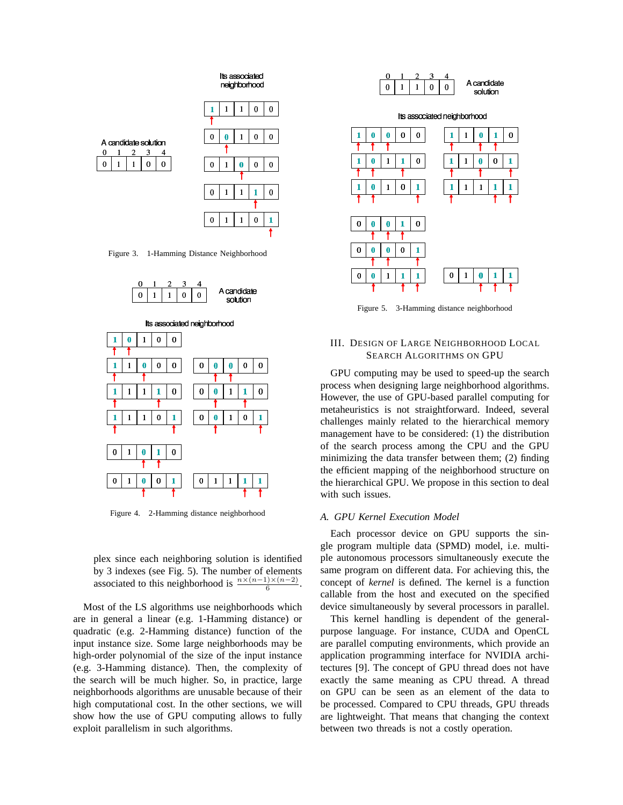

 $\pmb{0}$ 

Figure 3. 1-Hamming Distance Neighborhood



Figure 4. 2-Hamming distance neighborhood

plex since each neighboring solution is identified by 3 indexes (see Fig. 5). The number of elements associated to this neighborhood is  $\frac{n \times (n-1) \times (n-2)}{6}$ .

Most of the LS algorithms use neighborhoods which are in general a linear (e.g. 1-Hamming distance) or quadratic (e.g. 2-Hamming distance) function of the input instance size. Some large neighborhoods may be high-order polynomial of the size of the input instance (e.g. 3-Hamming distance). Then, the complexity of the search will be much higher. So, in practice, large neighborhoods algorithms are unusable because of their high computational cost. In the other sections, we will show how the use of GPU computing allows to fully exploit parallelism in such algorithms.





Figure 5. 3-Hamming distance neighborhood

# III. DESIGN OF LARGE NEIGHBORHOOD LOCAL SEARCH ALGORITHMS ON GPU

GPU computing may be used to speed-up the search process when designing large neighborhood algorithms. However, the use of GPU-based parallel computing for metaheuristics is not straightforward. Indeed, several challenges mainly related to the hierarchical memory management have to be considered: (1) the distribution of the search process among the CPU and the GPU minimizing the data transfer between them; (2) finding the efficient mapping of the neighborhood structure on the hierarchical GPU. We propose in this section to deal with such issues.

#### *A. GPU Kernel Execution Model*

Each processor device on GPU supports the single program multiple data (SPMD) model, i.e. multiple autonomous processors simultaneously execute the same program on different data. For achieving this, the concept of *kernel* is defined. The kernel is a function callable from the host and executed on the specified device simultaneously by several processors in parallel.

This kernel handling is dependent of the generalpurpose language. For instance, CUDA and OpenCL are parallel computing environments, which provide an application programming interface for NVIDIA architectures [9]. The concept of GPU thread does not have exactly the same meaning as CPU thread. A thread on GPU can be seen as an element of the data to be processed. Compared to CPU threads, GPU threads are lightweight. That means that changing the context between two threads is not a costly operation.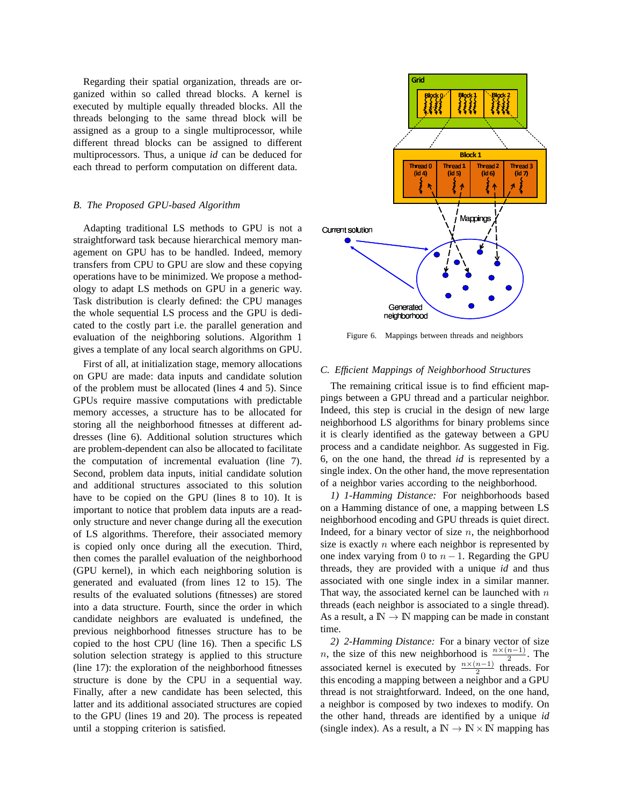Regarding their spatial organization, threads are organized within so called thread blocks. A kernel is executed by multiple equally threaded blocks. All the threads belonging to the same thread block will be assigned as a group to a single multiprocessor, while different thread blocks can be assigned to different multiprocessors. Thus, a unique *id* can be deduced for each thread to perform computation on different data.

# *B. The Proposed GPU-based Algorithm*

Adapting traditional LS methods to GPU is not a straightforward task because hierarchical memory management on GPU has to be handled. Indeed, memory transfers from CPU to GPU are slow and these copying operations have to be minimized. We propose a methodology to adapt LS methods on GPU in a generic way. Task distribution is clearly defined: the CPU manages the whole sequential LS process and the GPU is dedicated to the costly part i.e. the parallel generation and evaluation of the neighboring solutions. Algorithm 1 gives a template of any local search algorithms on GPU.

First of all, at initialization stage, memory allocations on GPU are made: data inputs and candidate solution of the problem must be allocated (lines 4 and 5). Since GPUs require massive computations with predictable memory accesses, a structure has to be allocated for storing all the neighborhood fitnesses at different addresses (line 6). Additional solution structures which are problem-dependent can also be allocated to facilitate the computation of incremental evaluation (line 7). Second, problem data inputs, initial candidate solution and additional structures associated to this solution have to be copied on the GPU (lines 8 to 10). It is important to notice that problem data inputs are a readonly structure and never change during all the execution of LS algorithms. Therefore, their associated memory is copied only once during all the execution. Third, then comes the parallel evaluation of the neighborhood (GPU kernel), in which each neighboring solution is generated and evaluated (from lines 12 to 15). The results of the evaluated solutions (fitnesses) are stored into a data structure. Fourth, since the order in which candidate neighbors are evaluated is undefined, the previous neighborhood fitnesses structure has to be copied to the host CPU (line 16). Then a specific LS solution selection strategy is applied to this structure (line 17): the exploration of the neighborhood fitnesses structure is done by the CPU in a sequential way. Finally, after a new candidate has been selected, this latter and its additional associated structures are copied to the GPU (lines 19 and 20). The process is repeated until a stopping criterion is satisfied.



Figure 6. Mappings between threads and neighbors

# *C. Efficient Mappings of Neighborhood Structures*

The remaining critical issue is to find efficient mappings between a GPU thread and a particular neighbor. Indeed, this step is crucial in the design of new large neighborhood LS algorithms for binary problems since it is clearly identified as the gateway between a GPU process and a candidate neighbor. As suggested in Fig. 6, on the one hand, the thread *id* is represented by a single index. On the other hand, the move representation of a neighbor varies according to the neighborhood.

*1) 1-Hamming Distance:* For neighborhoods based on a Hamming distance of one, a mapping between LS neighborhood encoding and GPU threads is quiet direct. Indeed, for a binary vector of size  $n$ , the neighborhood size is exactly  $n$  where each neighbor is represented by one index varying from 0 to  $n - 1$ . Regarding the GPU threads, they are provided with a unique *id* and thus associated with one single index in a similar manner. That way, the associated kernel can be launched with  $n$ threads (each neighbor is associated to a single thread). As a result, a  $\mathbb{N} \to \mathbb{N}$  mapping can be made in constant time.

*2) 2-Hamming Distance:* For a binary vector of size *n*, the size of this new neighborhood is  $\frac{n \times (n-1)}{2}$ . The associated kernel is executed by  $\frac{n \times (n-1)}{2}$  threads. For this encoding a mapping between a neighbor and a GPU thread is not straightforward. Indeed, on the one hand, a neighbor is composed by two indexes to modify. On the other hand, threads are identified by a unique *id* (single index). As a result, a  $\mathbb{N} \to \mathbb{N} \times \mathbb{N}$  mapping has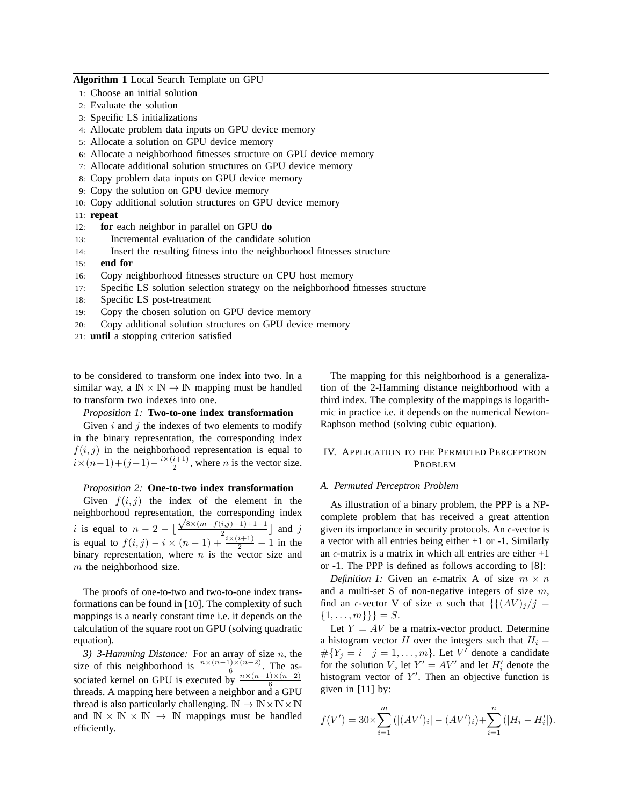# **Algorithm 1** Local Search Template on GPU

- 1: Choose an initial solution
- 2: Evaluate the solution
- 3: Specific LS initializations
- 4: Allocate problem data inputs on GPU device memory
- 5: Allocate a solution on GPU device memory
- 6: Allocate a neighborhood fitnesses structure on GPU device memory
- 7: Allocate additional solution structures on GPU device memory
- 8: Copy problem data inputs on GPU device memory
- 9: Copy the solution on GPU device memory
- 10: Copy additional solution structures on GPU device memory
- 11: **repeat**
- 12: **for** each neighbor in parallel on GPU **do**
- 13: Incremental evaluation of the candidate solution
- 14: Insert the resulting fitness into the neighborhood fitnesses structure
- 15: **end for**
- 16: Copy neighborhood fitnesses structure on CPU host memory
- 17: Specific LS solution selection strategy on the neighborhood fitnesses structure
- 18: Specific LS post-treatment
- 19: Copy the chosen solution on GPU device memory
- 20: Copy additional solution structures on GPU device memory
- 21: **until** a stopping criterion satisfied

to be considered to transform one index into two. In a similar way, a  $\mathbb{N} \times \mathbb{N} \to \mathbb{N}$  mapping must be handled to transform two indexes into one.

# *Proposition 1:* **Two-to-one index transformation**

Given  $i$  and  $j$  the indexes of two elements to modify in the binary representation, the corresponding index  $f(i, j)$  in the neighborhood representation is equal to  $i \times (n-1) + (j-1) - \frac{i \times (i+1)}{2}$  $\frac{i+1}{2}$ , where *n* is the vector size.

#### *Proposition 2:* **One-to-two index transformation**

Given  $f(i, j)$  the index of the element in the neighborhood representation, the corresponding index i is equal to  $n - 2 - \lfloor \frac{3}{2} \rfloor$  $\sqrt{8 \times (m - f(i,j) - 1) + 1} - 1$  $\frac{i,j-1}{2}$  and j is equal to  $f(i, j) - i \times (n - 1) + \frac{i \times (i+1)}{2} + 1$  in the binary representation, where  $n$  is the vector size and  $m$  the neighborhood size.

The proofs of one-to-two and two-to-one index transformations can be found in [10]. The complexity of such mappings is a nearly constant time i.e. it depends on the calculation of the square root on GPU (solving quadratic equation).

*3) 3-Hamming Distance:* For an array of size n, the size of this neighborhood is  $\frac{n \times (n-1) \times (n-2)}{6}$ . The associated kernel on GPU is executed by  $\frac{n \times (n-1) \times (n-2)}{6}$ threads. A mapping here between a neighbor and a GPU thread is also particularly challenging.  $\mathbb{N} \to \mathbb{N} \times \mathbb{N} \times \mathbb{N}$ and  $\mathbb{N} \times \mathbb{N} \times \mathbb{N} \rightarrow \mathbb{N}$  mappings must be handled efficiently.

The mapping for this neighborhood is a generalization of the 2-Hamming distance neighborhood with a third index. The complexity of the mappings is logarithmic in practice i.e. it depends on the numerical Newton-Raphson method (solving cubic equation).

# IV. APPLICATION TO THE PERMUTED PERCEPTRON PROBLEM

### *A. Permuted Perceptron Problem*

As illustration of a binary problem, the PPP is a NPcomplete problem that has received a great attention given its importance in security protocols. An  $\epsilon$ -vector is a vector with all entries being either +1 or -1. Similarly an  $\epsilon$ -matrix is a matrix in which all entries are either +1 or -1. The PPP is defined as follows according to [8]:

*Definition 1:* Given an  $\epsilon$ -matrix A of size  $m \times n$ and a multi-set S of non-negative integers of size  $m$ , find an  $\epsilon$ -vector V of size *n* such that  $\{(\langle AV \rangle_j / j = \epsilon\})$  $\{1, \ldots, m\}\} = S.$ 

Let  $Y = AV$  be a matrix-vector product. Determine a histogram vector H over the integers such that  $H_i =$  $#{Y_j = i | j = 1, ..., m}$ . Let V' denote a candidate for the solution V, let  $Y' = AV'$  and let  $H'_i$  denote the histogram vector of  $Y'$ . Then an objective function is given in [11] by:

$$
f(V') = 30 \times \sum_{i=1}^{m} (|(AV')_i| - (AV')_i) + \sum_{i=1}^{n} (|H_i - H'_i|).
$$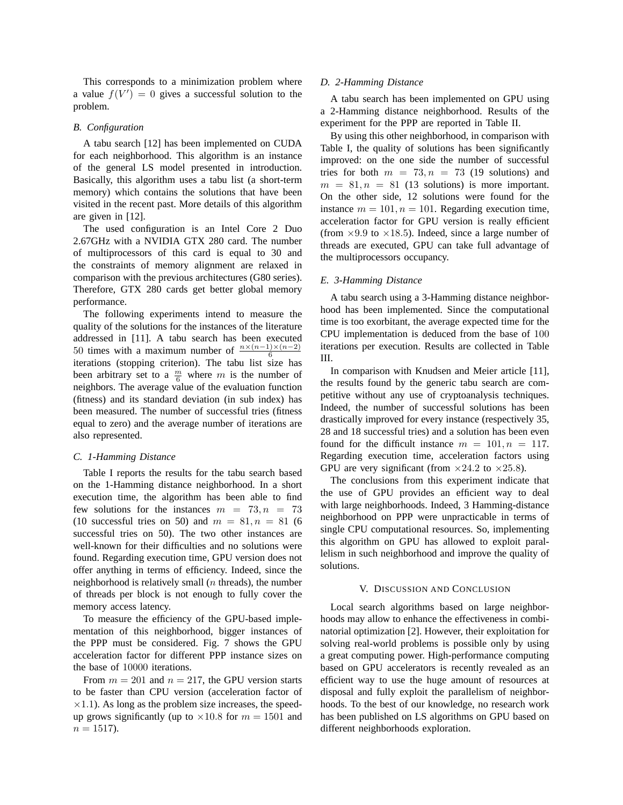This corresponds to a minimization problem where a value  $f(V') = 0$  gives a successful solution to the problem.

# *B. Configuration*

A tabu search [12] has been implemented on CUDA for each neighborhood. This algorithm is an instance of the general LS model presented in introduction. Basically, this algorithm uses a tabu list (a short-term memory) which contains the solutions that have been visited in the recent past. More details of this algorithm are given in [12].

The used configuration is an Intel Core 2 Duo 2.67GHz with a NVIDIA GTX 280 card. The number of multiprocessors of this card is equal to 30 and the constraints of memory alignment are relaxed in comparison with the previous architectures (G80 series). Therefore, GTX 280 cards get better global memory performance.

The following experiments intend to measure the quality of the solutions for the instances of the literature addressed in [11]. A tabu search has been executed 50 times with a maximum number of  $\frac{n \times (n-1) \times (n-2)}{6}$ iterations (stopping criterion). The tabu list size has been arbitrary set to a  $\frac{m}{6}$  where m is the number of neighbors. The average value of the evaluation function (fitness) and its standard deviation (in sub index) has been measured. The number of successful tries (fitness equal to zero) and the average number of iterations are also represented.

### *C. 1-Hamming Distance*

Table I reports the results for the tabu search based on the 1-Hamming distance neighborhood. In a short execution time, the algorithm has been able to find few solutions for the instances  $m = 73$ ,  $n = 73$ (10 successful tries on 50) and  $m = 81, n = 81$  (6) successful tries on 50). The two other instances are well-known for their difficulties and no solutions were found. Regarding execution time, GPU version does not offer anything in terms of efficiency. Indeed, since the neighborhood is relatively small  $(n$  threads), the number of threads per block is not enough to fully cover the memory access latency.

To measure the efficiency of the GPU-based implementation of this neighborhood, bigger instances of the PPP must be considered. Fig. 7 shows the GPU acceleration factor for different PPP instance sizes on the base of 10000 iterations.

From  $m = 201$  and  $n = 217$ , the GPU version starts to be faster than CPU version (acceleration factor of  $\times$ 1.1). As long as the problem size increases, the speedup grows significantly (up to  $\times 10.8$  for  $m = 1501$  and  $n = 1517$ .

#### *D. 2-Hamming Distance*

A tabu search has been implemented on GPU using a 2-Hamming distance neighborhood. Results of the experiment for the PPP are reported in Table II.

By using this other neighborhood, in comparison with Table I, the quality of solutions has been significantly improved: on the one side the number of successful tries for both  $m = 73, n = 73$  (19 solutions) and  $m = 81, n = 81$  (13 solutions) is more important. On the other side, 12 solutions were found for the instance  $m = 101$ ,  $n = 101$ . Regarding execution time, acceleration factor for GPU version is really efficient (from  $\times$ 9.9 to  $\times$ 18.5). Indeed, since a large number of threads are executed, GPU can take full advantage of the multiprocessors occupancy.

#### *E. 3-Hamming Distance*

A tabu search using a 3-Hamming distance neighborhood has been implemented. Since the computational time is too exorbitant, the average expected time for the CPU implementation is deduced from the base of 100 iterations per execution. Results are collected in Table III.

In comparison with Knudsen and Meier article [11], the results found by the generic tabu search are competitive without any use of cryptoanalysis techniques. Indeed, the number of successful solutions has been drastically improved for every instance (respectively 35, 28 and 18 successful tries) and a solution has been even found for the difficult instance  $m = 101, n = 117$ . Regarding execution time, acceleration factors using GPU are very significant (from  $\times 24.2$  to  $\times 25.8$ ).

The conclusions from this experiment indicate that the use of GPU provides an efficient way to deal with large neighborhoods. Indeed, 3 Hamming-distance neighborhood on PPP were unpracticable in terms of single CPU computational resources. So, implementing this algorithm on GPU has allowed to exploit parallelism in such neighborhood and improve the quality of solutions.

### V. DISCUSSION AND CONCLUSION

Local search algorithms based on large neighborhoods may allow to enhance the effectiveness in combinatorial optimization [2]. However, their exploitation for solving real-world problems is possible only by using a great computing power. High-performance computing based on GPU accelerators is recently revealed as an efficient way to use the huge amount of resources at disposal and fully exploit the parallelism of neighborhoods. To the best of our knowledge, no research work has been published on LS algorithms on GPU based on different neighborhoods exploration.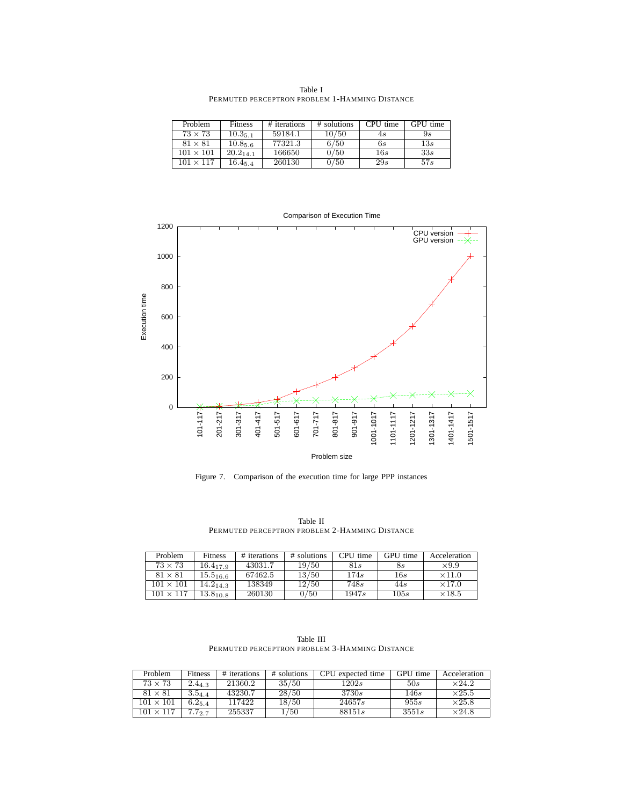Table I PERMUTED PERCEPTRON PROBLEM 1-HAMMING DISTANCE

| Problem          | <b>Fitness</b> | # iterations | # solutions | CPU time | GPU time |
|------------------|----------------|--------------|-------------|----------|----------|
| $73 \times 73$   | 10.351         | 59184.1      | 10/50       | 4s       | 9s       |
| $81 \times 81$   | $10.8_{5.6}$   | 77321.3      | 6/50        | 6s       | 13s      |
| $101 \times 101$ | $20.2_{14.1}$  | 166650       | 0/50        | 16s      | 33s      |
| $101 \times 117$ | $16.4$ 54      | 260130       | 0/50        | 29s      | 57s      |



Figure 7. Comparison of the execution time for large PPP instances

| Table II                                       |
|------------------------------------------------|
| PERMUTED PERCEPTRON PROBLEM 2-HAMMING DISTANCE |

| Problem          | <b>Fitness</b> | # iterations | # solutions | CPU time | GPU time | Acceleration  |
|------------------|----------------|--------------|-------------|----------|----------|---------------|
| $73 \times 73$   | $16.4_{17}$ 9  | 43031.7      | 19/50       | 81s      | 8s       | $\times$ 9.9  |
| $81 \times 81$   | $15.5_{16.6}$  | 67462.5      | 13/50       | 174s     | 16s      | $\times$ 11.0 |
| $101 \times 101$ | $14.2_{14.3}$  | 138349       | 12/50       | 748s     | 44s      | $\times$ 17.0 |
| $101 \times 117$ | $13.8_{10.8}$  | 260130       | 0/50        | 1947s    | 105s     | $\times18.5$  |

Table III PERMUTED PERCEPTRON PROBLEM 3-HAMMING DISTANCE

| <b>Problem</b>   | <b>Fitness</b> | # iterations | # solutions | CPU expected time | GPU time | Acceleration  |
|------------------|----------------|--------------|-------------|-------------------|----------|---------------|
| $73 \times 73$   | $2.4_{4.3}$    | 21360.2      | 35/50       | 1202s             | 50s      | $\times$ 24.2 |
| $81 \times 81$   | 3.54.4         | 43230.7      | 28/50       | 3730 <i>s</i>     | 146s     | $\times 25.5$ |
| $101 \times 101$ | $6.2_{5.4}$    | 117422       | 18/50       | 24657s            | 955s     | $\times 25.8$ |
| $101 \times 117$ | $.7_{2.7}$     | 255337       | /50         | 88151s            | 3551s    | $\times$ 24.8 |